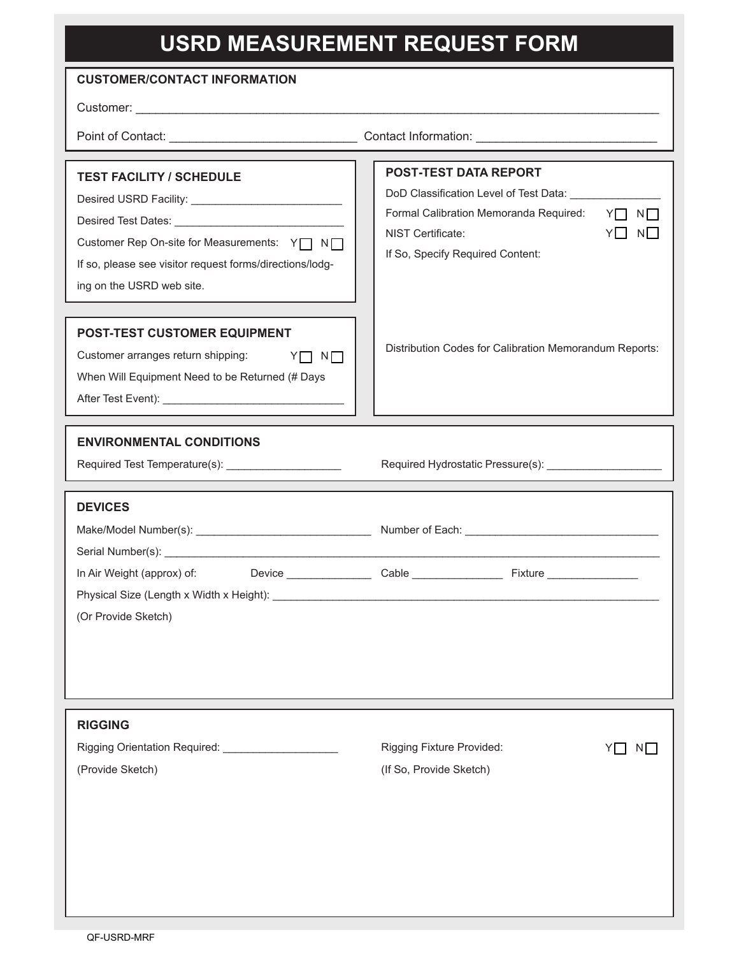## **USRD MEASUREMENT REQUEST FORM**

| <b>CUSTOMER/CONTACT INFORMATION</b>                                                                                                                                        |                                                                                                                                                                                                                             |  |
|----------------------------------------------------------------------------------------------------------------------------------------------------------------------------|-----------------------------------------------------------------------------------------------------------------------------------------------------------------------------------------------------------------------------|--|
|                                                                                                                                                                            |                                                                                                                                                                                                                             |  |
|                                                                                                                                                                            |                                                                                                                                                                                                                             |  |
| <b>TEST FACILITY / SCHEDULE</b><br>Customer Rep On-site for Measurements: Y   N  <br>If so, please see visitor request forms/directions/lodg-<br>ing on the USRD web site. | POST-TEST DATA REPORT<br>DoD Classification Level of Test Data: _________________<br>$Y \cap N$<br>Formal Calibration Memoranda Required:<br>$Y \square N \square$<br>NIST Certificate:<br>If So, Specify Required Content: |  |
| <b>POST-TEST CUSTOMER EQUIPMENT</b><br>Customer arranges return shipping:<br>$N\Box$<br>YO<br>When Will Equipment Need to be Returned (# Days                              | Distribution Codes for Calibration Memorandum Reports:                                                                                                                                                                      |  |
| <b>ENVIRONMENTAL CONDITIONS</b>                                                                                                                                            |                                                                                                                                                                                                                             |  |
| <b>DEVICES</b>                                                                                                                                                             |                                                                                                                                                                                                                             |  |
| (Or Provide Sketch)                                                                                                                                                        |                                                                                                                                                                                                                             |  |
| <b>RIGGING</b><br>Rigging Orientation Required: _______________________<br>(Provide Sketch)                                                                                | Rigging Fixture Provided:<br>NJ.<br>(If So, Provide Sketch)                                                                                                                                                                 |  |
|                                                                                                                                                                            |                                                                                                                                                                                                                             |  |